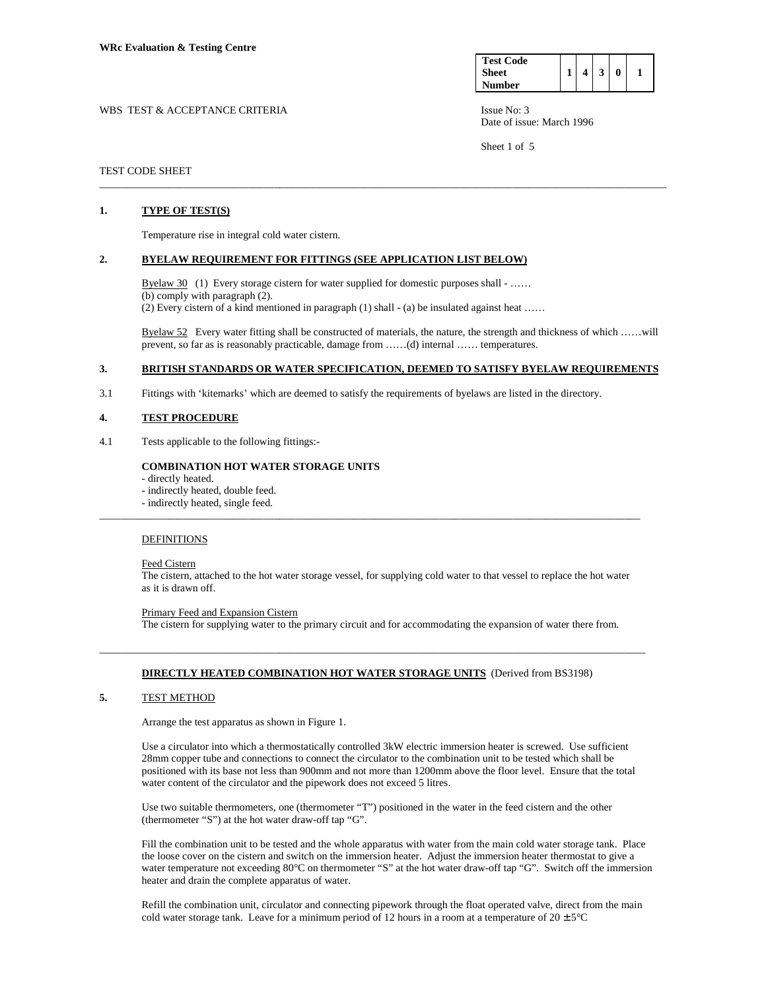| <b>Test Code</b> |  |   |  |
|------------------|--|---|--|
| Sheet            |  | 3 |  |
| Number           |  |   |  |

Date of issue: March 1996

Sheet 1 of 5

## WBS TEST & ACCEPTANCE CRITERIA ISSUE No: 3

### TEST CODE SHEET

## **1. TYPE OF TEST(S)**

Temperature rise in integral cold water cistern.

### **2. BYELAW REQUIREMENT FOR FITTINGS (SEE APPLICATION LIST BELOW)**

Byelaw  $30$  (1) Every storage cistern for water supplied for domestic purposes shall - ..... (b) comply with paragraph (2). (2) Every cistern of a kind mentioned in paragraph (1) shall - (a) be insulated against heat ……

Byelaw 52 Every water fitting shall be constructed of materials, the nature, the strength and thickness of which ……will prevent, so far as is reasonably practicable, damage from ……(d) internal …… temperatures.

## **3. BRITISH STANDARDS OR WATER SPECIFICATION, DEEMED TO SATISFY BYELAW REQUIREMENTS**

\_\_\_\_\_\_\_\_\_\_\_\_\_\_\_\_\_\_\_\_\_\_\_\_\_\_\_\_\_\_\_\_\_\_\_\_\_\_\_\_\_\_\_\_\_\_\_\_\_\_\_\_\_\_\_\_\_\_\_\_\_\_\_\_\_\_\_\_\_\_\_\_\_\_\_\_\_\_\_\_\_\_\_\_\_\_\_\_\_\_\_\_\_\_\_\_\_\_\_\_\_\_\_\_\_\_\_

3.1 Fittings with 'kitemarks' which are deemed to satisfy the requirements of byelaws are listed in the directory.

#### **4. TEST PROCEDURE**

4.1 Tests applicable to the following fittings:-

## **COMBINATION HOT WATER STORAGE UNITS**

- directly heated.
- indirectly heated, double feed.
- indirectly heated, single feed.

## DEFINITIONS

Feed Cistern

 The cistern, attached to the hot water storage vessel, for supplying cold water to that vessel to replace the hot water as it is drawn off.

\_\_\_\_\_\_\_\_\_\_\_\_\_\_\_\_\_\_\_\_\_\_\_\_\_\_\_\_\_\_\_\_\_\_\_\_\_\_\_\_\_\_\_\_\_\_\_\_\_\_\_\_\_\_\_\_\_\_\_\_\_\_\_\_\_\_\_\_\_\_\_\_\_\_\_\_\_\_\_\_\_\_\_\_\_\_\_\_\_\_\_\_\_\_\_\_\_\_\_\_\_\_

#### Primary Feed and Expansion Cistern

The cistern for supplying water to the primary circuit and for accommodating the expansion of water there from.

## **DIRECTLY HEATED COMBINATION HOT WATER STORAGE UNITS** (Derived from BS3198)

\_\_\_\_\_\_\_\_\_\_\_\_\_\_\_\_\_\_\_\_\_\_\_\_\_\_\_\_\_\_\_\_\_\_\_\_\_\_\_\_\_\_\_\_\_\_\_\_\_\_\_\_\_\_\_\_\_\_\_\_\_\_\_\_\_\_\_\_\_\_\_\_\_\_\_\_\_\_\_\_\_\_\_\_\_\_\_\_\_\_\_\_\_\_\_\_\_\_\_\_\_\_\_

## **5.** TEST METHOD

Arrange the test apparatus as shown in Figure 1.

 Use a circulator into which a thermostatically controlled 3kW electric immersion heater is screwed. Use sufficient 28mm copper tube and connections to connect the circulator to the combination unit to be tested which shall be positioned with its base not less than 900mm and not more than 1200mm above the floor level. Ensure that the total water content of the circulator and the pipework does not exceed 5 litres.

 Use two suitable thermometers, one (thermometer "T") positioned in the water in the feed cistern and the other (thermometer "S") at the hot water draw-off tap "G".

 Fill the combination unit to be tested and the whole apparatus with water from the main cold water storage tank. Place the loose cover on the cistern and switch on the immersion heater. Adjust the immersion heater thermostat to give a water temperature not exceeding 80°C on thermometer "S" at the hot water draw-off tap "G". Switch off the immersion heater and drain the complete apparatus of water.

 Refill the combination unit, circulator and connecting pipework through the float operated valve, direct from the main cold water storage tank. Leave for a minimum period of 12 hours in a room at a temperature of  $20 \pm 5^{\circ}$ C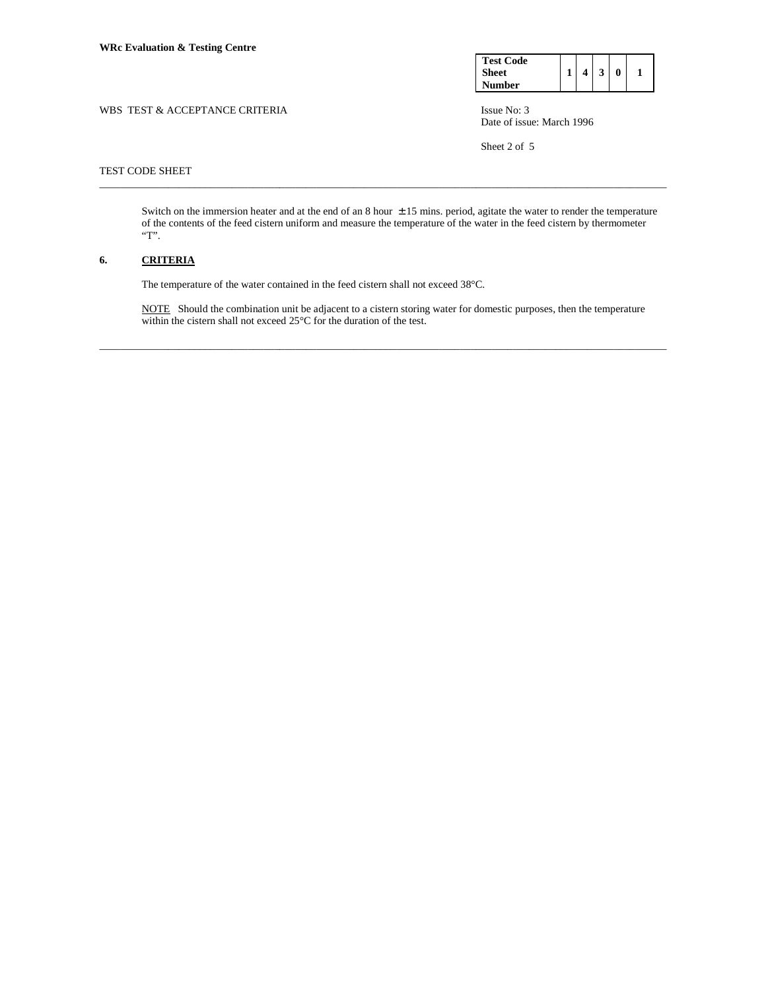| <b>Test Code</b> |   |   |  |
|------------------|---|---|--|
| <b>Sheet</b>     | 4 | 3 |  |
| Number           |   |   |  |

WBS TEST & ACCEPTANCE CRITERIA ISSUE No: 3 Date of issue: March 1996

Sheet 2 of 5

## TEST CODE SHEET

Switch on the immersion heater and at the end of an  $8$  hour  $\pm 15$  mins. period, agitate the water to render the temperature of the contents of the feed cistern uniform and measure the temperature of the water in the feed cistern by thermometer  $^{\prime\prime}{\rm T}$  .

\_\_\_\_\_\_\_\_\_\_\_\_\_\_\_\_\_\_\_\_\_\_\_\_\_\_\_\_\_\_\_\_\_\_\_\_\_\_\_\_\_\_\_\_\_\_\_\_\_\_\_\_\_\_\_\_\_\_\_\_\_\_\_\_\_\_\_\_\_\_\_\_\_\_\_\_\_\_\_\_\_\_\_\_\_\_\_\_\_\_\_\_\_\_\_\_\_\_\_\_\_\_\_\_\_\_\_

## **6. CRITERIA**

The temperature of the water contained in the feed cistern shall not exceed 38°C.

 NOTE Should the combination unit be adjacent to a cistern storing water for domestic purposes, then the temperature within the cistern shall not exceed 25°C for the duration of the test.

\_\_\_\_\_\_\_\_\_\_\_\_\_\_\_\_\_\_\_\_\_\_\_\_\_\_\_\_\_\_\_\_\_\_\_\_\_\_\_\_\_\_\_\_\_\_\_\_\_\_\_\_\_\_\_\_\_\_\_\_\_\_\_\_\_\_\_\_\_\_\_\_\_\_\_\_\_\_\_\_\_\_\_\_\_\_\_\_\_\_\_\_\_\_\_\_\_\_\_\_\_\_\_\_\_\_\_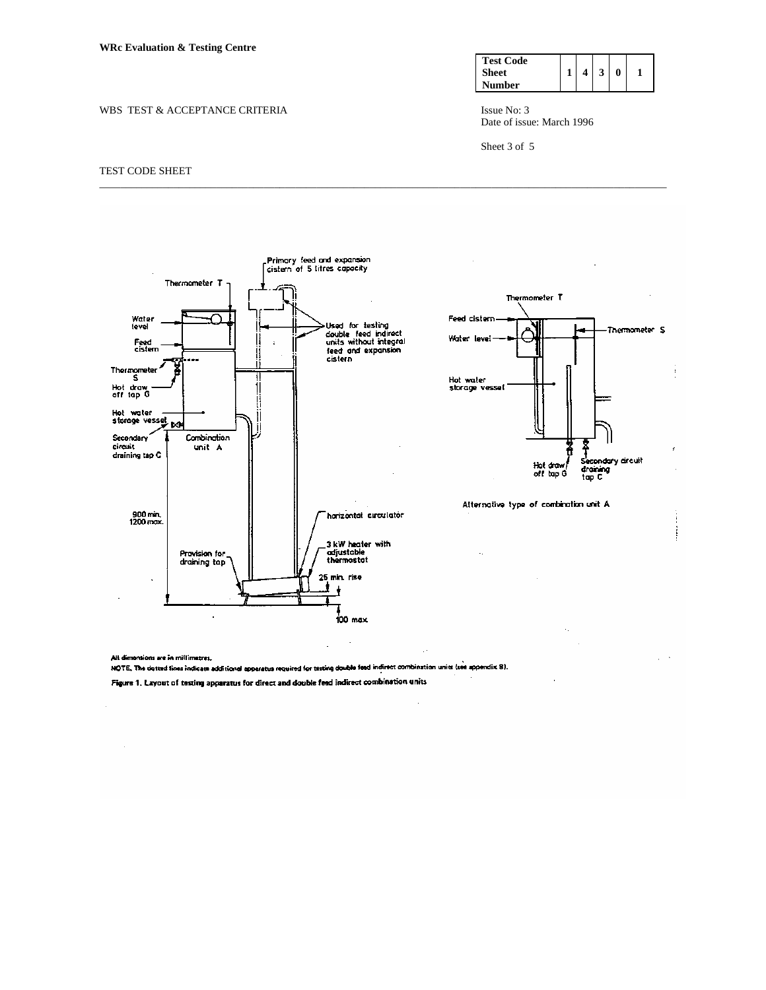### WBS TEST & ACCEPTANCE CRITERIA ISSUE No: 3



Date of issue: March 1996

Sheet 3 of 5

### TEST CODE SHEET



\_\_\_\_\_\_\_\_\_\_\_\_\_\_\_\_\_\_\_\_\_\_\_\_\_\_\_\_\_\_\_\_\_\_\_\_\_\_\_\_\_\_\_\_\_\_\_\_\_\_\_\_\_\_\_\_\_\_\_\_\_\_\_\_\_\_\_\_\_\_\_\_\_\_\_\_\_\_\_\_\_\_\_\_\_\_\_\_\_\_\_\_\_\_\_\_\_\_\_\_\_\_\_\_\_\_\_

Alt dimensions are in millimetres. NOTE. The dotted tines indicate additional apparatus required for testing double feed indirect combination units (see appendix 8). Figure 1. Layout of testing apparatus for direct and double feed indirect combination units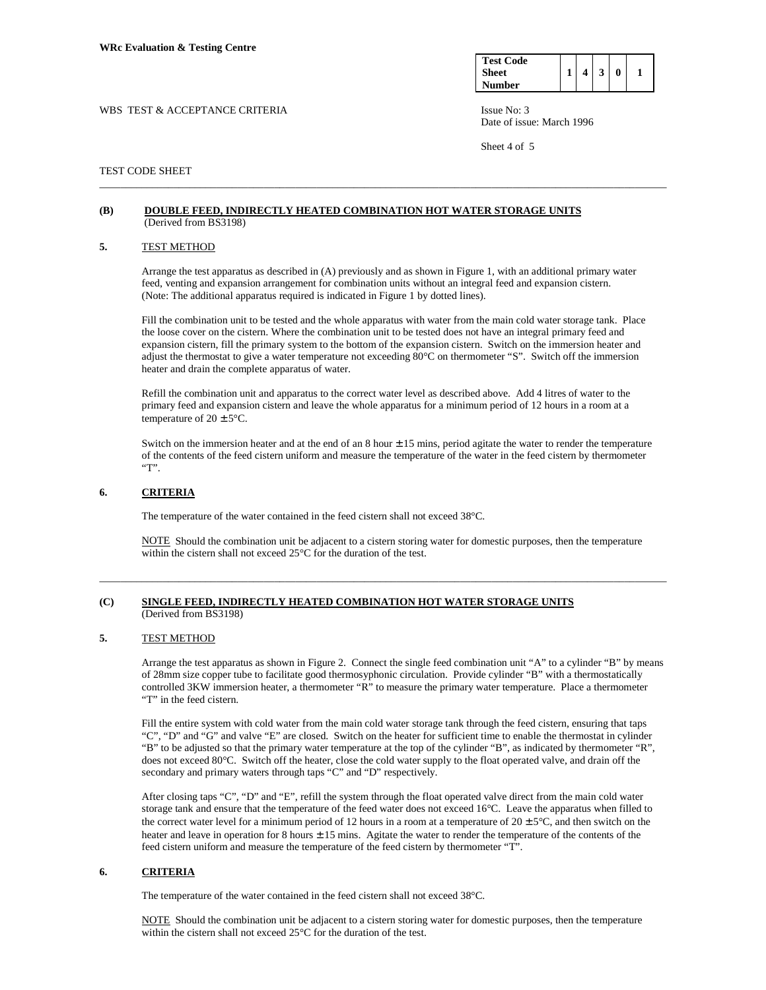| <b>Test Code</b> |  |   |   |  |
|------------------|--|---|---|--|
| Sheet            |  | 3 | 0 |  |
| Number           |  |   |   |  |

Date of issue: March 1996

Sheet 4 of 5

## WBS TEST & ACCEPTANCE CRITERIA ISSUE No: 3

## TEST CODE SHEET

### **(B) DOUBLE FEED, INDIRECTLY HEATED COMBINATION HOT WATER STORAGE UNITS** (Derived from BS3198)

### **5.** TEST METHOD

 Arrange the test apparatus as described in (A) previously and as shown in Figure 1, with an additional primary water feed, venting and expansion arrangement for combination units without an integral feed and expansion cistern. (Note: The additional apparatus required is indicated in Figure 1 by dotted lines).

\_\_\_\_\_\_\_\_\_\_\_\_\_\_\_\_\_\_\_\_\_\_\_\_\_\_\_\_\_\_\_\_\_\_\_\_\_\_\_\_\_\_\_\_\_\_\_\_\_\_\_\_\_\_\_\_\_\_\_\_\_\_\_\_\_\_\_\_\_\_\_\_\_\_\_\_\_\_\_\_\_\_\_\_\_\_\_\_\_\_\_\_\_\_\_\_\_\_\_\_\_\_\_\_\_\_\_

 Fill the combination unit to be tested and the whole apparatus with water from the main cold water storage tank. Place the loose cover on the cistern. Where the combination unit to be tested does not have an integral primary feed and expansion cistern, fill the primary system to the bottom of the expansion cistern. Switch on the immersion heater and adjust the thermostat to give a water temperature not exceeding 80°C on thermometer "S". Switch off the immersion heater and drain the complete apparatus of water.

 Refill the combination unit and apparatus to the correct water level as described above. Add 4 litres of water to the primary feed and expansion cistern and leave the whole apparatus for a minimum period of 12 hours in a room at a temperature of  $20 \pm 5^{\circ}$ C.

Switch on the immersion heater and at the end of an  $8$  hour  $\pm 15$  mins, period agitate the water to render the temperature of the contents of the feed cistern uniform and measure the temperature of the water in the feed cistern by thermometer  $"T"$ .

## **6. CRITERIA**

The temperature of the water contained in the feed cistern shall not exceed 38°C.

 NOTE Should the combination unit be adjacent to a cistern storing water for domestic purposes, then the temperature within the cistern shall not exceed 25°C for the duration of the test.

\_\_\_\_\_\_\_\_\_\_\_\_\_\_\_\_\_\_\_\_\_\_\_\_\_\_\_\_\_\_\_\_\_\_\_\_\_\_\_\_\_\_\_\_\_\_\_\_\_\_\_\_\_\_\_\_\_\_\_\_\_\_\_\_\_\_\_\_\_\_\_\_\_\_\_\_\_\_\_\_\_\_\_\_\_\_\_\_\_\_\_\_\_\_\_\_\_\_\_\_\_\_\_\_\_\_\_

## **(C) SINGLE FEED, INDIRECTLY HEATED COMBINATION HOT WATER STORAGE UNITS** (Derived from BS3198)

# **5.** TEST METHOD

 Arrange the test apparatus as shown in Figure 2. Connect the single feed combination unit "A" to a cylinder "B" by means of 28mm size copper tube to facilitate good thermosyphonic circulation. Provide cylinder "B" with a thermostatically controlled 3KW immersion heater, a thermometer "R" to measure the primary water temperature. Place a thermometer "T" in the feed cistern.

 Fill the entire system with cold water from the main cold water storage tank through the feed cistern, ensuring that taps "C", "D" and "G" and valve "E" are closed. Switch on the heater for sufficient time to enable the thermostat in cylinder "B" to be adjusted so that the primary water temperature at the top of the cylinder "B", as indicated by thermometer "R", does not exceed 80°C. Switch off the heater, close the cold water supply to the float operated valve, and drain off the secondary and primary waters through taps "C" and "D" respectively.

 After closing taps "C", "D" and "E", refill the system through the float operated valve direct from the main cold water storage tank and ensure that the temperature of the feed water does not exceed 16°C. Leave the apparatus when filled to the correct water level for a minimum period of 12 hours in a room at a temperature of  $20 \pm 5^{\circ}$ C, and then switch on the heater and leave in operation for 8 hours  $\pm 15$  mins. Agitate the water to render the temperature of the contents of the feed cistern uniform and measure the temperature of the feed cistern by thermometer "T".

## **6. CRITERIA**

The temperature of the water contained in the feed cistern shall not exceed 38°C.

 NOTE Should the combination unit be adjacent to a cistern storing water for domestic purposes, then the temperature within the cistern shall not exceed 25°C for the duration of the test.